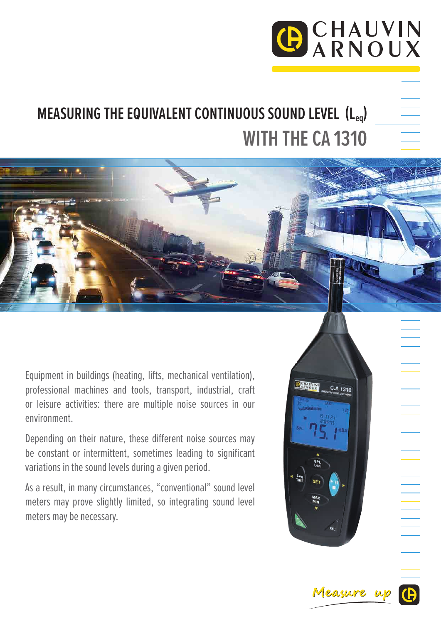## GCHAUVIN

### **MEASURING THE EQUIVALENT CONTINUOUS SOUND LEVEL (Leq) WITH THE CA 1310**

Equipment in buildings (heating, lifts, mechanical ventilation), professional machines and tools, transport, industrial, craft or leisure activities: there are multiple noise sources in our environment.

Depending on their nature, these different noise sources may be constant or intermittent, sometimes leading to significant variations in the sound levels during a given period.

As a result, in many circumstances, "conventional" sound level meters may prove slightly limited, so integrating sound level meters may be necessary.



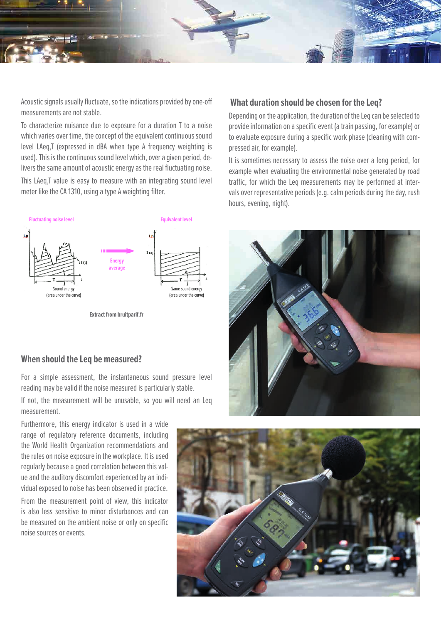

Acoustic signals usually fluctuate, so the indications provided by one-off measurements are not stable.

To characterize nuisance due to exposure for a duration T to a noise which varies over time, the concept of the equivalent continuous sound level LAeq,T (expressed in dBA when type A frequency weighting is used). This is the continuous sound level which, over a given period, delivers the same amount of acoustic energy as the real fluctuating noise. This LAeq,T value is easy to measure with an integrating sound level

meter like the CA 1310, using a type A weighting filter.



**Extract from bruitparif.fr**

#### **When should the Leq be measured?**

For a simple assessment, the instantaneous sound pressure level reading may be valid if the noise measured is particularly stable.

If not, the measurement will be unusable, so you will need an Leq measurement.

Furthermore, this energy indicator is used in a wide range of regulatory reference documents, including the World Health Organization recommendations and the rules on noise exposure in the workplace. It is used regularly because a good correlation between this value and the auditory discomfort experienced by an individual exposed to noise has been observed in practice.

From the measurement point of view, this indicator is also less sensitive to minor disturbances and can be measured on the ambient noise or only on specific noise sources or events.

#### **What duration should be chosen for the Leq?**

Depending on the application, the duration of the Leq can be selected to provide information on a specific event (a train passing, for example) or to evaluate exposure during a specific work phase (cleaning with compressed air, for example).

It is sometimes necessary to assess the noise over a long period, for example when evaluating the environmental noise generated by road traffic, for which the Leq measurements may be performed at intervals over representative periods (e.g. calm periods during the day, rush hours, evening, night).



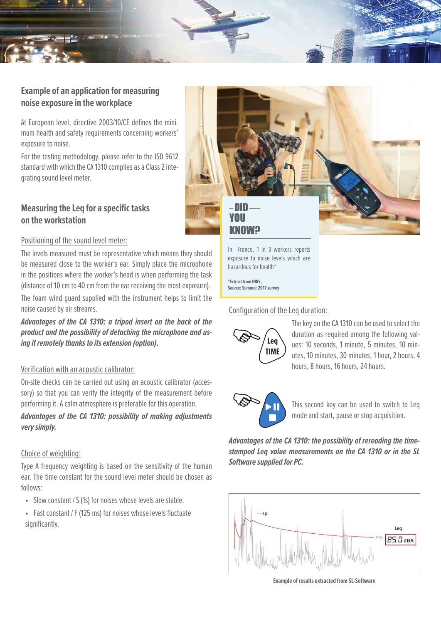

#### **Example of an application for measuring noise exposure in the workplace**

At European level, directive 2003/10/CE defines the minimum health and safety requirements concerning workers' exposure to noise.

For the testing methodology, please refer to the ISO 9612 standard with which the CA 1310 complies as a Class 2 integrating sound level meter.

#### **Measuring the Leq for a specific tasks on the workstation**

# DID YOU KNOW?

In France, 1 in 3 workers reports exposure to noise levels which are hazardous for health\*

**\*Extract from INRS, Source: Summer 2017 survey**

#### Configuration of the Leq duration:



The key on the CA 1310 can be used to select the duration as required among the following values: 10 seconds, 1 minute, 5 minutes, 10 minutes, 10 minutes, 30 minutes, 1 hour, 2 hours, 4 hours, 8 hours, 16 hours, 24 hours.



This second key can be used to switch to Leq mode and start, pause or stop acquisition.

*Advantages of the CA 1310: the possibility of rereading the timestamped Leq value measurements on the CA 1310 or in the SL Software supplied for PC.*



**Example of results extracted from SL-Software**

#### Positioning of the sound level meter:

The levels measured must be representative which means they should be measured close to the worker's ear. Simply place the microphone in the positions where the worker's head is when performing the task (distance of 10 cm to 40 cm from the ear receiving the most exposure).

The foam wind guard supplied with the instrument helps to limit the noise caused by air streams.

*Advantages of the CA 1310: a tripod insert on the back of the product and the possibility of detaching the microphone and using it remotely thanks to its extension (option).*

#### Verification with an acoustic calibrator:

On-site checks can be carried out using an acoustic calibrator (accessory) so that you can verify the integrity of the measurement before performing it. A calm atmosphere is preferable for this operation.

*Advantages of the CA 1310: possibility of making adjustments very simply.*

#### Choice of weighting:

Type A frequency weighting is based on the sensitivity of the human ear. The time constant for the sound level meter should be chosen as follows:

- Slow constant / S (1s) for noises whose levels are stable.
- Fast constant / F (125 ms) for noises whose levels fluctuate significantly.